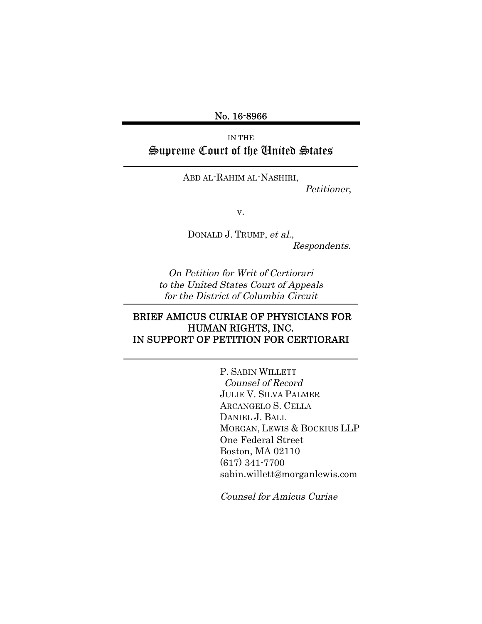#### No. 16-8966

# IN THE Supreme Court of the United States

ABD AL-RAHIM AL-NASHIRI,

Petitioner,

v.

DONALD J. TRUMP, et al., Respondents.

On Petition for Writ of Certiorari to the United States Court of Appeals for the District of Columbia Circuit

## BRIEF AMICUS CURIAE OF PHYSICIANS FOR HUMAN RIGHTS, INC. IN SUPPORT OF PETITION FOR CERTIORARI

P. SABIN WILLETT Counsel of Record JULIE V. SILVA PALMER ARCANGELO S. CELLA DANIEL J. BALL MORGAN, LEWIS & BOCKIUS LLP One Federal Street Boston, MA 02110 (617) 341-7700 sabin.willett@morganlewis.com

Counsel for Amicus Curiae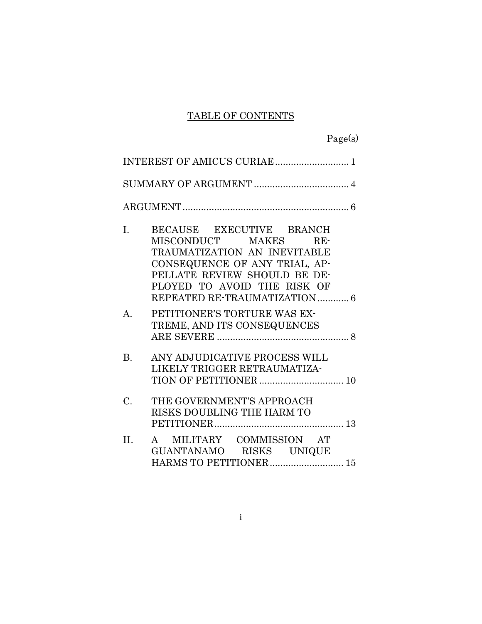# TABLE OF CONTENTS

| $\mathbf{I}$ . | BECAUSE EXECUTIVE BRANCH<br>MISCONDUCT MAKES RE-<br>TRAUMATIZATION AN INEVITABLE<br>CONSEQUENCE OF ANY TRIAL, AP-<br>PELLATE REVIEW SHOULD BE DE-<br>PLOYED TO AVOID THE RISK OF<br>REPEATED RE-TRAUMATIZATION 6 |
|----------------|------------------------------------------------------------------------------------------------------------------------------------------------------------------------------------------------------------------|
| $\mathsf{A}$ . | PETITIONER'S TORTURE WAS EX-<br>TREME, AND ITS CONSEQUENCES                                                                                                                                                      |
| <b>B.</b>      | ANY ADJUDICATIVE PROCESS WILL<br>LIKELY TRIGGER RETRAUMATIZA-                                                                                                                                                    |
| C.             | THE GOVERNMENT'S APPROACH<br>RISKS DOUBLING THE HARM TO                                                                                                                                                          |
| II.            | MILITARY COMMISSION AT<br>$\mathbf{A}$<br>GUANTANAMO RISKS UNIQUE<br>HARMS TO PETITIONER 15                                                                                                                      |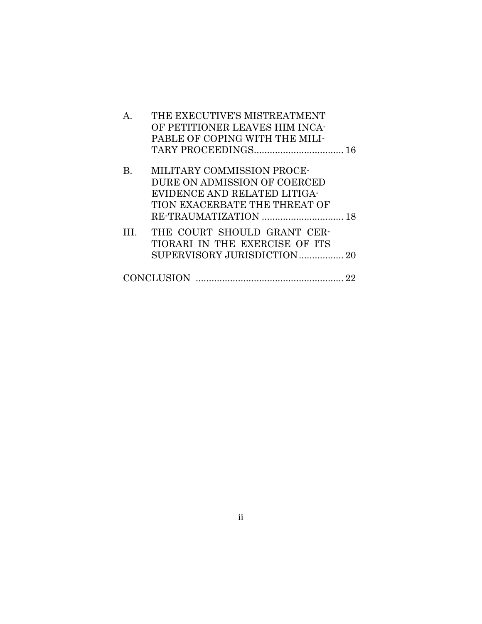|    | THE EXECUTIVE'S MISTREATMENT   |    |
|----|--------------------------------|----|
|    | OF PETITIONER LEAVES HIM INCA- |    |
|    | PABLE OF COPING WITH THE MILI- |    |
|    |                                | 16 |
| B. | MILITARY COMMISSION PROCE-     |    |
|    | DURE ON ADMISSION OF COERCED   |    |
|    | EVIDENCE AND RELATED LITIGA-   |    |
|    | TION EXACERBATE THE THREAT OF  |    |
|    |                                |    |
| Ш  | THE COURT SHOULD GRANT CER-    |    |
|    | TIORARI IN THE EXERCISE OF ITS |    |
|    |                                |    |
|    | <b>CONCLUSION</b>              |    |
|    |                                |    |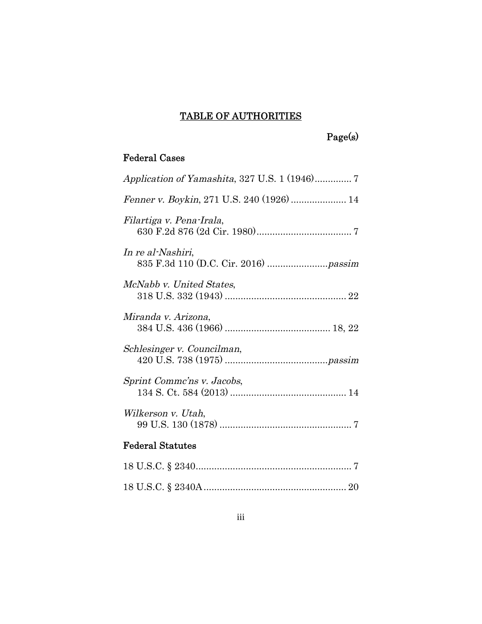## TABLE OF AUTHORITIES

Page(s)

# Federal Cases

| Filartiga v. Pena-Irala,   |
|----------------------------|
| In re al-Nashiri,          |
| McNabb v. United States,   |
| Miranda v. Arizona,        |
| Schlesinger v. Councilman, |
| Sprint Comme'ns v. Jacobs, |
| Wilkerson v. Utah,         |
| <b>Federal Statutes</b>    |
|                            |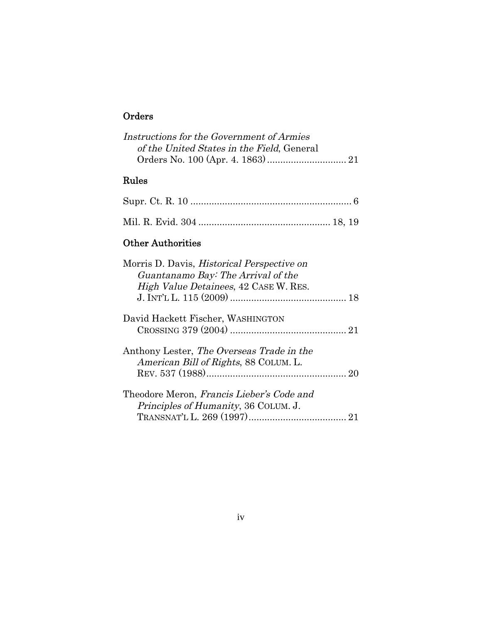# Orders

| Instructions for the Government of Armies  |  |
|--------------------------------------------|--|
| of the United States in the Field, General |  |
|                                            |  |

# Rules

# Other Authorities

| Morris D. Davis, <i>Historical Perspective on</i>                                  |  |
|------------------------------------------------------------------------------------|--|
| Guantanamo Bay: The Arrival of the                                                 |  |
| High Value Detainees, 42 CASE W. RES.                                              |  |
|                                                                                    |  |
| David Hackett Fischer, WASHINGTON                                                  |  |
| Anthony Lester, The Overseas Trade in the<br>American Bill of Rights, 88 COLUM. L. |  |
| Theodore Meron, Francis Lieber's Code and                                          |  |
| Principles of Humanity, 36 COLUM. J.                                               |  |
|                                                                                    |  |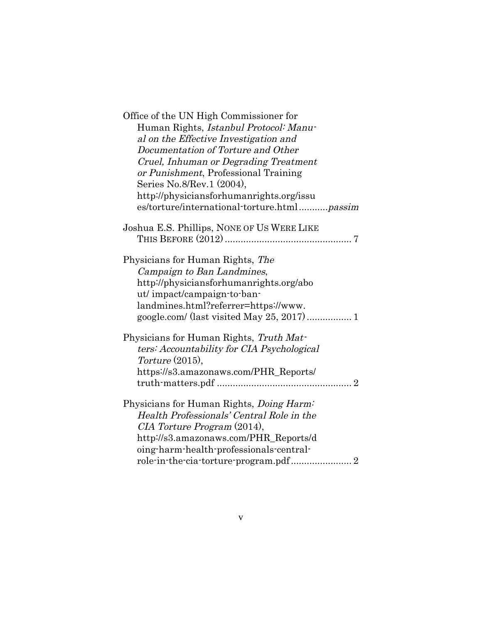| Office of the UN High Commissioner for      |
|---------------------------------------------|
| Human Rights, Istanbul Protocol: Manu-      |
| al on the Effective Investigation and       |
| Documentation of Torture and Other          |
| Cruel, Inhuman or Degrading Treatment       |
| or Punishment, Professional Training        |
| Series No.8/Rev.1 (2004),                   |
| http://physiciansforhumanrights.org/issu    |
| es/torture/international-torture.htmlpassim |
| Joshua E.S. Phillips, NONE OF US WERE LIKE  |
|                                             |
| Physicians for Human Rights, The            |
| Campaign to Ban Landmines,                  |
| http://physiciansforhumanrights.org/abo     |
| ut/impact/campaign-to-ban-                  |
| landmines.html?referrer=https://www.        |
|                                             |
| Physicians for Human Rights, Truth Mat-     |
| ters: Accountability for CIA Psychological  |
| $Torture$ (2015),                           |
| https://s3.amazonaws.com/PHR_Reports/       |
|                                             |
| Physicians for Human Rights, Doing Harm:    |
| Health Professionals' Central Role in the   |
| CIA Torture Program (2014),                 |
| http://s3.amazonaws.com/PHR_Reports/d       |
| oing-harm-health-professionals-central-     |
|                                             |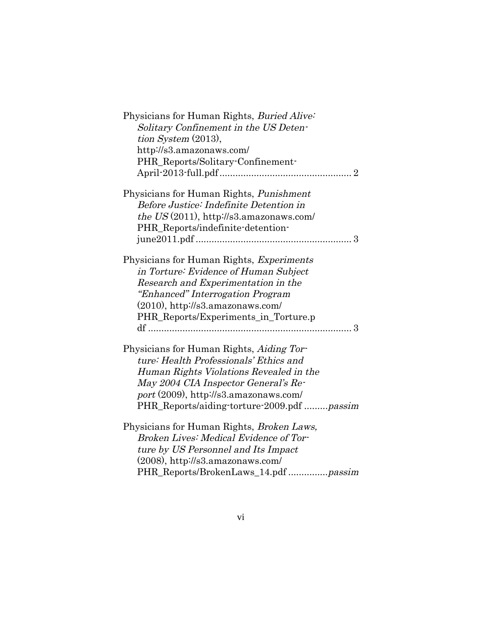| Physicians for Human Rights, <i>Buried Alive</i><br>Solitary Confinement in the US Deten-<br>tion System $(2013)$ ,<br>http://s3.amazonaws.com/<br>PHR_Reports/Solitary-Confinement-                                                                         |
|--------------------------------------------------------------------------------------------------------------------------------------------------------------------------------------------------------------------------------------------------------------|
| Physicians for Human Rights, <i>Punishment</i><br>Before Justice: Indefinite Detention in<br>the $US(2011)$ , http://s3.amazonaws.com/<br>PHR_Reports/indefinite-detention-<br>3                                                                             |
| Physicians for Human Rights, <i>Experiments</i><br>in Torture: Evidence of Human Subject<br>Research and Experimentation in the<br>"Enhanced" Interrogation Program<br>$(2010)$ , http://s3.amazonaws.com/<br>PHR_Reports/Experiments_in_Torture.p<br>3      |
| Physicians for Human Rights, Aiding Tor-<br>ture: Health Professionals' Ethics and<br>Human Rights Violations Revealed in the<br>May 2004 CIA Inspector General's Re-<br>port (2009), http://s3.amazonaws.com/<br>PHR_Reports/aiding-torture-2009.pdf passim |
| Physicians for Human Rights, <i>Broken Laws</i> ,<br><b>Broken Lives: Medical Evidence of Tor-</b><br>ture by US Personnel and Its Impact<br>$(2008)$ , http://s3.amazonaws.com/<br>PHR_Reports/BrokenLaws_14.pdf <i>passim</i>                              |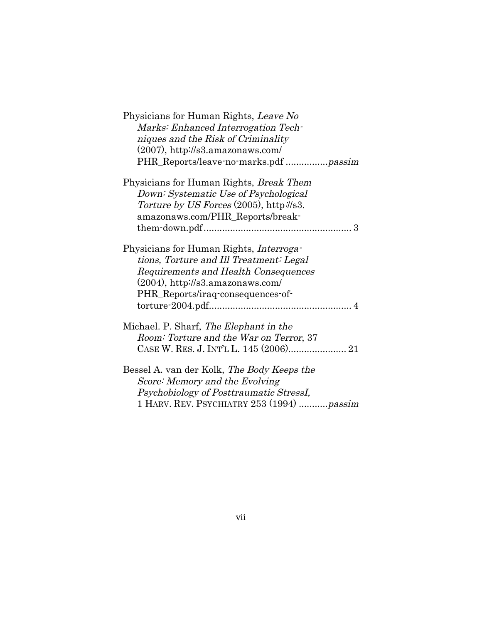| Physicians for Human Rights, Leave No          |
|------------------------------------------------|
| Marks: Enhanced Interrogation Tech-            |
| niques and the Risk of Criminality             |
| $(2007)$ , http://s3.amazonaws.com/            |
| PHR_Reports/leave-no-marks.pdf passim          |
|                                                |
| Physicians for Human Rights, <i>Break Them</i> |
| Down: Systematic Use of Psychological          |
| Torture by US Forces (2005), http://s3.        |
| amazonaws.com/PHR_Reports/break-               |
|                                                |
|                                                |
| Physicians for Human Rights, Interroga-        |
| tions, Torture and Ill Treatment: Legal        |
| Requirements and Health Consequences           |
| $(2004)$ , http://s3.amazonaws.com/            |
| PHR_Reports/iraq-consequences-of-              |
|                                                |
|                                                |
| Michael. P. Sharf, The Elephant in the         |
| Room: Torture and the War on Terror, 37        |
|                                                |
| Bessel A. van der Kolk, The Body Keeps the     |
| Score: Memory and the Evolving                 |
| Psychobiology of Posttraumatic StressI,        |
| 1 HARV. REV. PSYCHIATRY 253 (1994) passim      |
|                                                |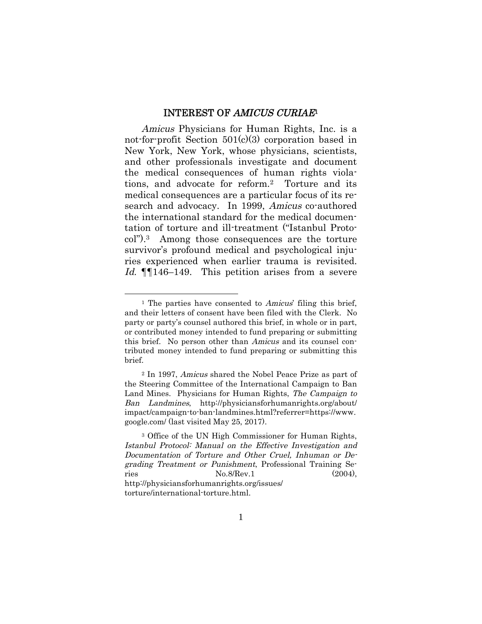#### INTEREST OF AMICUS CURIAE<sup>1</sup>

Amicus Physicians for Human Rights, Inc. is a not-for-profit Section  $501(c)(3)$  corporation based in New York, New York, whose physicians, scientists, and other professionals investigate and document the medical consequences of human rights violations, and advocate for reform.2 Torture and its medical consequences are a particular focus of its research and advocacy. In 1999, Amicus co-authored the international standard for the medical documentation of torture and ill-treatment ("Istanbul Protocol").3 Among those consequences are the torture survivor's profound medical and psychological injuries experienced when earlier trauma is revisited. Id. ¶¶146–149. This petition arises from a severe

<sup>&</sup>lt;sup>1</sup> The parties have consented to *Amicus*' filing this brief, and their letters of consent have been filed with the Clerk. No party or party's counsel authored this brief, in whole or in part, or contributed money intended to fund preparing or submitting this brief. No person other than Amicus and its counsel contributed money intended to fund preparing or submitting this brief.

<sup>2</sup> In 1997, Amicus shared the Nobel Peace Prize as part of the Steering Committee of the International Campaign to Ban Land Mines. Physicians for Human Rights, The Campaign to Ban Landmines, http://physiciansforhumanrights.org/about/ impact/campaign-to-ban-landmines.html?referrer=https://www. google.com/ (last visited May 25, 2017).

<sup>3</sup> Office of the UN High Commissioner for Human Rights, Istanbul Protocol: Manual on the Effective Investigation and Documentation of Torture and Other Cruel, Inhuman or Degrading Treatment or Punishment, Professional Training Series  $No.8/Rev.1$  (2004), http://physiciansforhumanrights.org/issues/ torture/international-torture.html.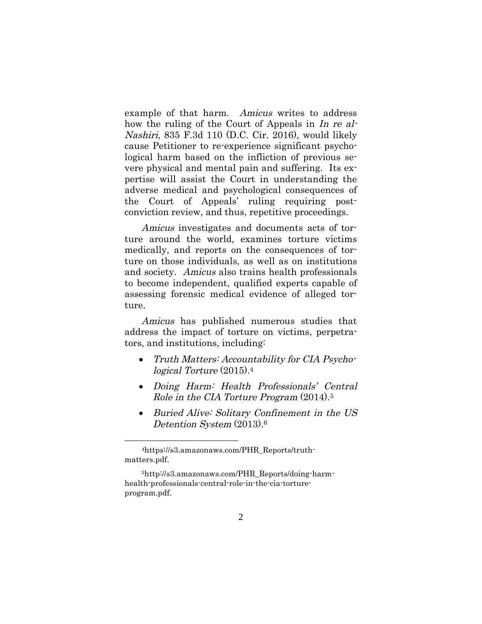example of that harm. Amicus writes to address how the ruling of the Court of Appeals in In re al-Nashiri, 835 F.3d 110 (D.C. Cir. 2016), would likely cause Petitioner to re-experience significant psychological harm based on the infliction of previous severe physical and mental pain and suffering. Its expertise will assist the Court in understanding the adverse medical and psychological consequences of the Court of Appeals' ruling requiring postconviction review, and thus, repetitive proceedings.

Amicus investigates and documents acts of torture around the world, examines torture victims medically, and reports on the consequences of torture on those individuals, as well as on institutions and society. Amicus also trains health professionals to become independent, qualified experts capable of assessing forensic medical evidence of alleged torture.

Amicus has published numerous studies that address the impact of torture on victims, perpetrators, and institutions, including:

- Truth Matters: Accountability for CIA Psychological Torture (2015).<sup>4</sup>
- Doing Harm: Health Professionals' Central Role in the CIA Torture Program (2014).<sup>5</sup>
- Buried Alive: Solitary Confinement in the US Detention System (2013).<sup>6</sup>

<sup>4</sup>https://s3.amazonaws.com/PHR\_Reports/truthmatters.pdf.

<sup>5</sup>http://s3.amazonaws.com/PHR\_Reports/doing-harmhealth-professionals-central-role-in-the-cia-tortureprogram.pdf.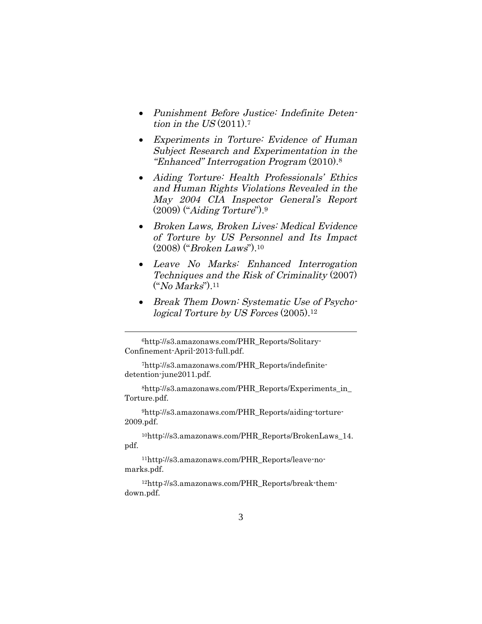- Punishment Before Justice: Indefinite Detention in the  $US(2011).7$
- Experiments in Torture: Evidence of Human Subject Research and Experimentation in the "Enhanced" Interrogation Program (2010).<sup>8</sup>
- Aiding Torture: Health Professionals' Ethics and Human Rights Violations Revealed in the May 2004 CIA Inspector General's Report (2009) ("Aiding Torture").<sup>9</sup>
- Broken Laws, Broken Lives: Medical Evidence of Torture by US Personnel and Its Impact (2008) ("Broken Laws").<sup>10</sup>
- Leave No Marks: Enhanced Interrogation Techniques and the Risk of Criminality (2007) ("No Marks").<sup>11</sup>
- Break Them Down: Systematic Use of Psychological Torture by US Forces (2005).<sup>12</sup>

6http://s3.amazonaws.com/PHR\_Reports/Solitary-Confinement-April-2013-full.pdf.

7http://s3.amazonaws.com/PHR\_Reports/indefinitedetention-june2011.pdf.

<sup>8</sup>http://s3.amazonaws.com/PHR\_Reports/Experiments\_in\_ Torture.pdf.

9http://s3.amazonaws.com/PHR\_Reports/aiding-torture-2009.pdf.

<sup>10</sup>http://s3.amazonaws.com/PHR\_Reports/BrokenLaws\_14. pdf.

11http://s3.amazonaws.com/PHR\_Reports/leave-nomarks.pdf.

<sup>12</sup>http://s3.amazonaws.com/PHR\_Reports/break-themdown.pdf.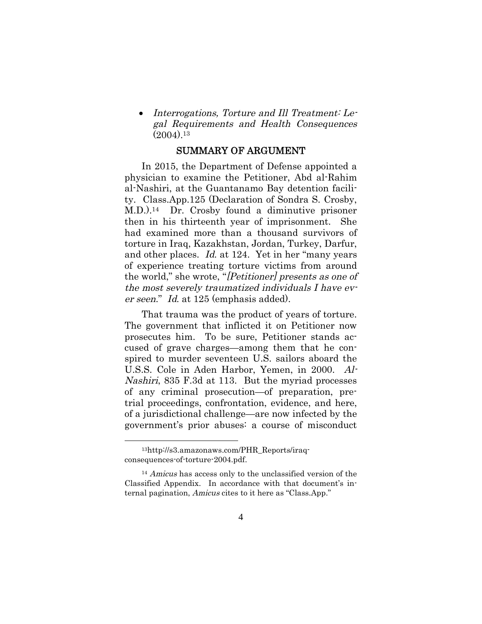• Interrogations, Torture and Ill Treatment: Legal Requirements and Health Consequences  $(2004).13$ 

#### SUMMARY OF ARGUMENT

In 2015, the Department of Defense appointed a physician to examine the Petitioner, Abd al-Rahim al-Nashiri, at the Guantanamo Bay detention facility. Class.App.125 (Declaration of Sondra S. Crosby, M.D.).14 Dr. Crosby found a diminutive prisoner then in his thirteenth year of imprisonment. She had examined more than a thousand survivors of torture in Iraq, Kazakhstan, Jordan, Turkey, Darfur, and other places. Id. at 124. Yet in her "many years of experience treating torture victims from around the world," she wrote, "*[Petitioner]* presents as one of the most severely traumatized individuals I have ever seen." Id. at 125 (emphasis added).

That trauma was the product of years of torture. The government that inflicted it on Petitioner now prosecutes him. To be sure, Petitioner stands accused of grave charges—among them that he conspired to murder seventeen U.S. sailors aboard the U.S.S. Cole in Aden Harbor, Yemen, in 2000. Al-Nashiri, 835 F.3d at 113. But the myriad processes of any criminal prosecution—of preparation, pretrial proceedings, confrontation, evidence, and here, of a jurisdictional challenge—are now infected by the government's prior abuses: a course of misconduct

<sup>13</sup>http://s3.amazonaws.com/PHR\_Reports/iraqconsequences-of-torture-2004.pdf.

<sup>&</sup>lt;sup>14</sup> Amicus has access only to the unclassified version of the Classified Appendix. In accordance with that document's internal pagination, Amicus cites to it here as "Class.App."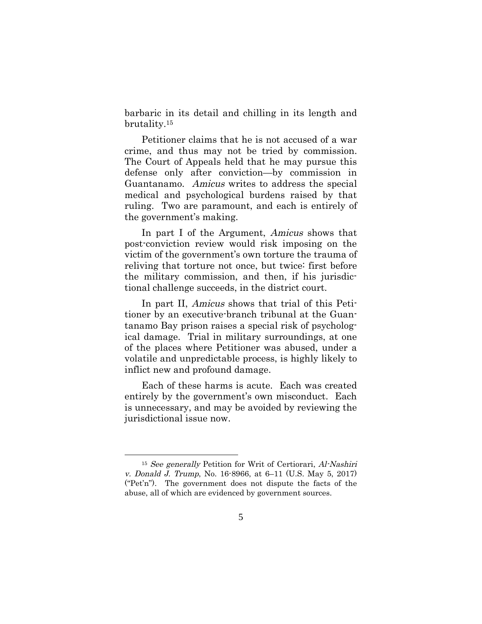barbaric in its detail and chilling in its length and brutality.<sup>15</sup>

Petitioner claims that he is not accused of a war crime, and thus may not be tried by commission. The Court of Appeals held that he may pursue this defense only after conviction—by commission in Guantanamo. Amicus writes to address the special medical and psychological burdens raised by that ruling. Two are paramount, and each is entirely of the government's making.

In part I of the Argument, Amicus shows that post-conviction review would risk imposing on the victim of the government's own torture the trauma of reliving that torture not once, but twice: first before the military commission, and then, if his jurisdictional challenge succeeds, in the district court.

In part II, Amicus shows that trial of this Petitioner by an executive-branch tribunal at the Guantanamo Bay prison raises a special risk of psychological damage. Trial in military surroundings, at one of the places where Petitioner was abused, under a volatile and unpredictable process, is highly likely to inflict new and profound damage.

Each of these harms is acute. Each was created entirely by the government's own misconduct. Each is unnecessary, and may be avoided by reviewing the jurisdictional issue now.

<sup>15</sup> See generally Petition for Writ of Certiorari, Al-Nashiri v. Donald J. Trump, No. 16-8966, at 6–11 (U.S. May 5, 2017) ("Pet'n"). The government does not dispute the facts of the abuse, all of which are evidenced by government sources.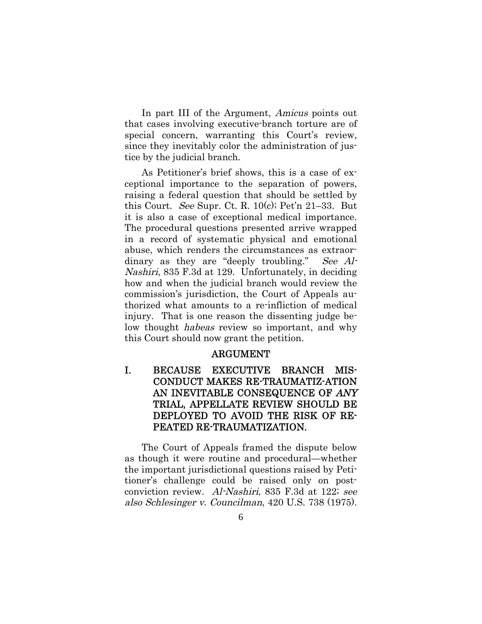In part III of the Argument, Amicus points out that cases involving executive-branch torture are of special concern, warranting this Court's review, since they inevitably color the administration of justice by the judicial branch.

As Petitioner's brief shows, this is a case of exceptional importance to the separation of powers, raising a federal question that should be settled by this Court. See Supr. Ct. R.  $10(c)$ ; Pet'n 21–33. But it is also a case of exceptional medical importance. The procedural questions presented arrive wrapped in a record of systematic physical and emotional abuse, which renders the circumstances as extraordinary as they are "deeply troubling." See Al-Nashiri, 835 F.3d at 129. Unfortunately, in deciding how and when the judicial branch would review the commission's jurisdiction, the Court of Appeals authorized what amounts to a re-infliction of medical injury. That is one reason the dissenting judge below thought habeas review so important, and why this Court should now grant the petition.

#### ARGUMENT

I. BECAUSE EXECUTIVE BRANCH MIS-CONDUCT MAKES RE-TRAUMATIZ-ATION AN INEVITABLE CONSEQUENCE OF ANY TRIAL, APPELLATE REVIEW SHOULD BE DEPLOYED TO AVOID THE RISK OF RE-PEATED RE-TRAUMATIZATION.

The Court of Appeals framed the dispute below as though it were routine and procedural—whether the important jurisdictional questions raised by Petitioner's challenge could be raised only on postconviction review. Al-Nashiri, 835 F.3d at 122; see also Schlesinger v. Councilman, 420 U.S. 738 (1975).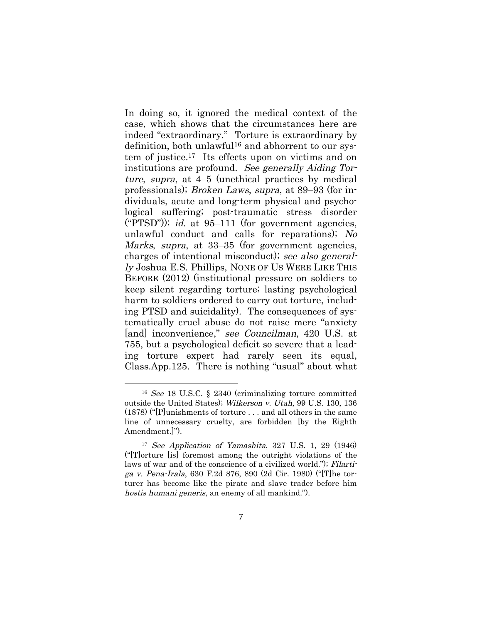In doing so, it ignored the medical context of the case, which shows that the circumstances here are indeed "extraordinary." Torture is extraordinary by definition, both unlawful<sup>16</sup> and abhorrent to our system of justice.17 Its effects upon on victims and on institutions are profound. See generally Aiding Torture, supra, at 4–5 (unethical practices by medical professionals); Broken Laws, supra, at 89–93 (for individuals, acute and long-term physical and psychological suffering; post-traumatic stress disorder ("PTSD")); *id.* at  $95-111$  (for government agencies, unlawful conduct and calls for reparations); No Marks, supra, at 33–35 (for government agencies, charges of intentional misconduct); see also generally Joshua E.S. Phillips, NONE OF US WERE LIKE THIS BEFORE (2012) (institutional pressure on soldiers to keep silent regarding torture; lasting psychological harm to soldiers ordered to carry out torture, including PTSD and suicidality). The consequences of systematically cruel abuse do not raise mere "anxiety [and] inconvenience," see Councilman, 420 U.S. at 755, but a psychological deficit so severe that a leading torture expert had rarely seen its equal, Class.App.125. There is nothing "usual" about what

<sup>16</sup> See 18 U.S.C. § 2340 (criminalizing torture committed outside the United States); Wilkerson v. Utah, 99 U.S. 130, 136 (1878) ("[P]unishments of torture . . . and all others in the same line of unnecessary cruelty, are forbidden [by the Eighth Amendment.]").

<sup>17</sup> See Application of Yamashita, 327 U.S. 1, 29 (1946) ("[T]orture [is] foremost among the outright violations of the laws of war and of the conscience of a civilized world."); Filartiga v. Pena-Irala, 630 F.2d 876, 890 (2d Cir. 1980) ("[T]he torturer has become like the pirate and slave trader before him hostis humani generis, an enemy of all mankind.").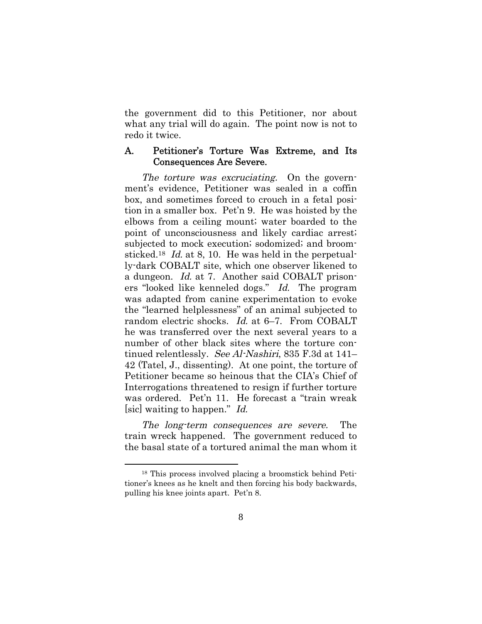the government did to this Petitioner, nor about what any trial will do again. The point now is not to redo it twice.

#### A. Petitioner's Torture Was Extreme, and Its Consequences Are Severe.

The torture was excruciating. On the government's evidence, Petitioner was sealed in a coffin box, and sometimes forced to crouch in a fetal position in a smaller box. Pet'n 9. He was hoisted by the elbows from a ceiling mount; water boarded to the point of unconsciousness and likely cardiac arrest; subjected to mock execution; sodomized; and broomsticked.<sup>18</sup> Id. at 8, 10. He was held in the perpetually-dark COBALT site, which one observer likened to a dungeon. Id. at 7. Another said COBALT prisoners "looked like kenneled dogs." Id. The program was adapted from canine experimentation to evoke the "learned helplessness" of an animal subjected to random electric shocks. Id. at 6–7. From COBALT he was transferred over the next several years to a number of other black sites where the torture continued relentlessly. See Al-Nashiri, 835 F.3d at 141– 42 (Tatel, J., dissenting). At one point, the torture of Petitioner became so heinous that the CIA's Chief of Interrogations threatened to resign if further torture was ordered. Pet'n 11. He forecast a "train wreak [sic] waiting to happen." Id.

The long-term consequences are severe. The train wreck happened. The government reduced to the basal state of a tortured animal the man whom it

<sup>18</sup> This process involved placing a broomstick behind Petitioner's knees as he knelt and then forcing his body backwards, pulling his knee joints apart. Pet'n 8.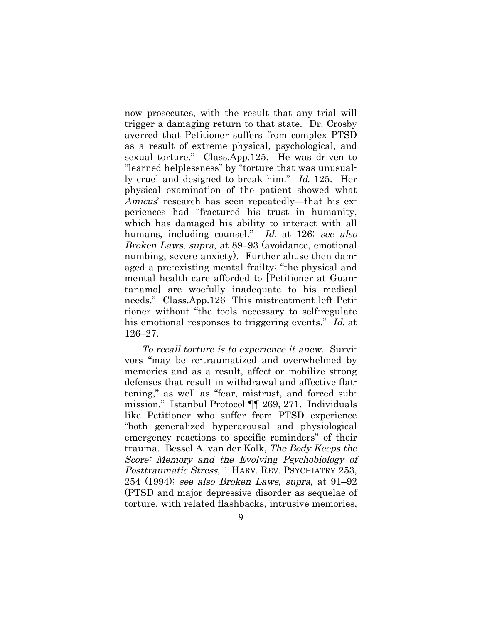now prosecutes, with the result that any trial will trigger a damaging return to that state. Dr. Crosby averred that Petitioner suffers from complex PTSD as a result of extreme physical, psychological, and sexual torture." Class.App.125. He was driven to "learned helplessness" by "torture that was unusually cruel and designed to break him." Id. 125. Her physical examination of the patient showed what Amicus' research has seen repeatedly—that his experiences had "fractured his trust in humanity, which has damaged his ability to interact with all humans, including counsel." Id. at 126; see also Broken Laws, supra, at 89–93 (avoidance, emotional numbing, severe anxiety). Further abuse then damaged a pre-existing mental frailty: "the physical and mental health care afforded to [Petitioner at Guantanamo] are woefully inadequate to his medical needs." Class.App.126 This mistreatment left Petitioner without "the tools necessary to self-regulate his emotional responses to triggering events." Id. at 126–27.

To recall torture is to experience it anew. Survivors "may be re-traumatized and overwhelmed by memories and as a result, affect or mobilize strong defenses that result in withdrawal and affective flattening," as well as "fear, mistrust, and forced submission." Istanbul Protocol ¶¶ 269, 271. Individuals like Petitioner who suffer from PTSD experience "both generalized hyperarousal and physiological emergency reactions to specific reminders" of their trauma. Bessel A. van der Kolk, The Body Keeps the Score: Memory and the Evolving Psychobiology of Posttraumatic Stress, 1 HARV. REV. PSYCHIATRY 253, 254 (1994); see also Broken Laws, supra, at 91–92 (PTSD and major depressive disorder as sequelae of torture, with related flashbacks, intrusive memories,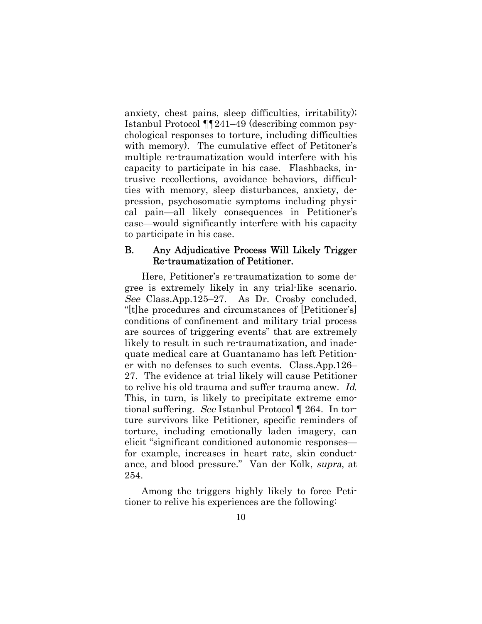anxiety, chest pains, sleep difficulties, irritability); Istanbul Protocol ¶¶241–49 (describing common psychological responses to torture, including difficulties with memory). The cumulative effect of Petitoner's multiple re-traumatization would interfere with his capacity to participate in his case. Flashbacks, intrusive recollections, avoidance behaviors, difficulties with memory, sleep disturbances, anxiety, depression, psychosomatic symptoms including physical pain—all likely consequences in Petitioner's case—would significantly interfere with his capacity to participate in his case.

#### B. Any Adjudicative Process Will Likely Trigger Re-traumatization of Petitioner.

Here, Petitioner's re-traumatization to some degree is extremely likely in any trial-like scenario. See Class.App.125–27. As Dr. Crosby concluded, "[t]he procedures and circumstances of [Petitioner's] conditions of confinement and military trial process are sources of triggering events" that are extremely likely to result in such re-traumatization, and inadequate medical care at Guantanamo has left Petitioner with no defenses to such events. Class.App.126– 27. The evidence at trial likely will cause Petitioner to relive his old trauma and suffer trauma anew. Id. This, in turn, is likely to precipitate extreme emotional suffering. See Istanbul Protocol ¶ 264. In torture survivors like Petitioner, specific reminders of torture, including emotionally laden imagery, can elicit "significant conditioned autonomic responses for example, increases in heart rate, skin conductance, and blood pressure." Van der Kolk, supra, at 254.

Among the triggers highly likely to force Petitioner to relive his experiences are the following: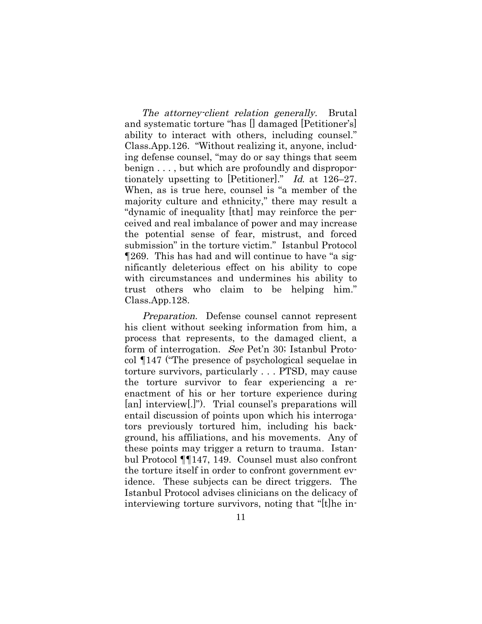The attorney-client relation generally. Brutal and systematic torture "has [] damaged [Petitioner's] ability to interact with others, including counsel." Class.App.126. "Without realizing it, anyone, including defense counsel, "may do or say things that seem benign . . . , but which are profoundly and disproportionately upsetting to [Petitioner]." Id. at 126–27. When, as is true here, counsel is "a member of the majority culture and ethnicity," there may result a "dynamic of inequality [that] may reinforce the perceived and real imbalance of power and may increase the potential sense of fear, mistrust, and forced submission" in the torture victim." Istanbul Protocol ¶269. This has had and will continue to have "a significantly deleterious effect on his ability to cope with circumstances and undermines his ability to trust others who claim to be helping him." Class.App.128.

Preparation. Defense counsel cannot represent his client without seeking information from him, a process that represents, to the damaged client, a form of interrogation. See Pet'n 30; Istanbul Protocol ¶147 ("The presence of psychological sequelae in torture survivors, particularly . . . PTSD, may cause the torture survivor to fear experiencing a reenactment of his or her torture experience during [an] interview[.]"). Trial counsel's preparations will entail discussion of points upon which his interrogators previously tortured him, including his background, his affiliations, and his movements. Any of these points may trigger a return to trauma. Istanbul Protocol ¶¶147, 149. Counsel must also confront the torture itself in order to confront government evidence. These subjects can be direct triggers. The Istanbul Protocol advises clinicians on the delicacy of interviewing torture survivors, noting that "[t]he in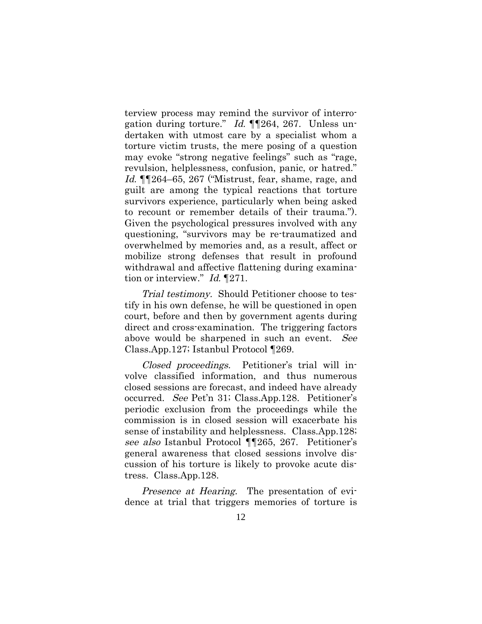terview process may remind the survivor of interrogation during torture." Id. ¶¶264, 267. Unless undertaken with utmost care by a specialist whom a torture victim trusts, the mere posing of a question may evoke "strong negative feelings" such as "rage, revulsion, helplessness, confusion, panic, or hatred." Id. ¶¶264–65, 267 ("Mistrust, fear, shame, rage, and guilt are among the typical reactions that torture survivors experience, particularly when being asked to recount or remember details of their trauma."). Given the psychological pressures involved with any questioning, "survivors may be re-traumatized and overwhelmed by memories and, as a result, affect or mobilize strong defenses that result in profound withdrawal and affective flattening during examination or interview." Id. [271.

Trial testimony. Should Petitioner choose to testify in his own defense, he will be questioned in open court, before and then by government agents during direct and cross-examination. The triggering factors above would be sharpened in such an event. See Class.App.127; Istanbul Protocol ¶269.

Closed proceedings. Petitioner's trial will involve classified information, and thus numerous closed sessions are forecast, and indeed have already occurred. See Pet'n 31; Class.App.128. Petitioner's periodic exclusion from the proceedings while the commission is in closed session will exacerbate his sense of instability and helplessness. Class.App.128; see also Istanbul Protocol ¶¶265, 267. Petitioner's general awareness that closed sessions involve discussion of his torture is likely to provoke acute distress. Class.App.128.

Presence at Hearing. The presentation of evidence at trial that triggers memories of torture is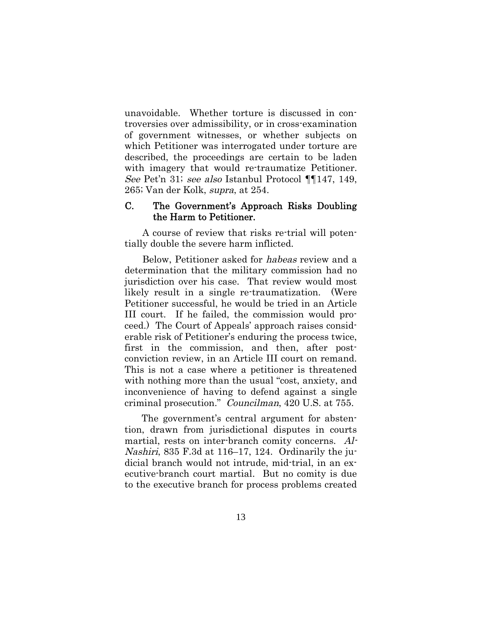unavoidable. Whether torture is discussed in controversies over admissibility, or in cross-examination of government witnesses, or whether subjects on which Petitioner was interrogated under torture are described, the proceedings are certain to be laden with imagery that would re-traumatize Petitioner. See Pet'n 31; see also Istanbul Protocol ¶¶147, 149, 265; Van der Kolk, supra, at 254.

#### C. The Government's Approach Risks Doubling the Harm to Petitioner.

A course of review that risks re-trial will potentially double the severe harm inflicted.

Below, Petitioner asked for habeas review and a determination that the military commission had no jurisdiction over his case. That review would most likely result in a single re-traumatization. (Were Petitioner successful, he would be tried in an Article III court. If he failed, the commission would proceed.) The Court of Appeals' approach raises considerable risk of Petitioner's enduring the process twice, first in the commission, and then, after postconviction review, in an Article III court on remand. This is not a case where a petitioner is threatened with nothing more than the usual "cost, anxiety, and inconvenience of having to defend against a single criminal prosecution." Councilman, 420 U.S. at 755.

The government's central argument for abstention, drawn from jurisdictional disputes in courts martial, rests on inter-branch comity concerns. Al-Nashiri, 835 F.3d at 116–17, 124. Ordinarily the judicial branch would not intrude, mid-trial, in an executive-branch court martial. But no comity is due to the executive branch for process problems created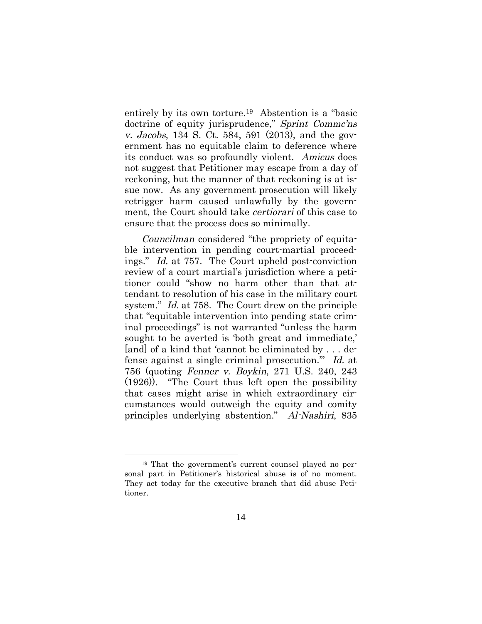entirely by its own torture.19 Abstention is a "basic doctrine of equity jurisprudence," Sprint Commc'ns v. Jacobs, 134 S. Ct. 584, 591 (2013), and the government has no equitable claim to deference where its conduct was so profoundly violent. Amicus does not suggest that Petitioner may escape from a day of reckoning, but the manner of that reckoning is at issue now. As any government prosecution will likely retrigger harm caused unlawfully by the government, the Court should take certiorari of this case to ensure that the process does so minimally.

Councilman considered "the propriety of equitable intervention in pending court-martial proceedings." Id. at 757. The Court upheld post-conviction review of a court martial's jurisdiction where a petitioner could "show no harm other than that attendant to resolution of his case in the military court system." Id. at 758. The Court drew on the principle that "equitable intervention into pending state criminal proceedings" is not warranted "unless the harm sought to be averted is 'both great and immediate,'  $[and]$  of a kind that 'cannot be eliminated by ... defense against a single criminal prosecution.'" Id. at 756 (quoting Fenner v. Boykin, 271 U.S. 240, 243 (1926)). "The Court thus left open the possibility that cases might arise in which extraordinary circumstances would outweigh the equity and comity principles underlying abstention." Al-Nashiri, 835

<sup>19</sup> That the government's current counsel played no personal part in Petitioner's historical abuse is of no moment. They act today for the executive branch that did abuse Petitioner.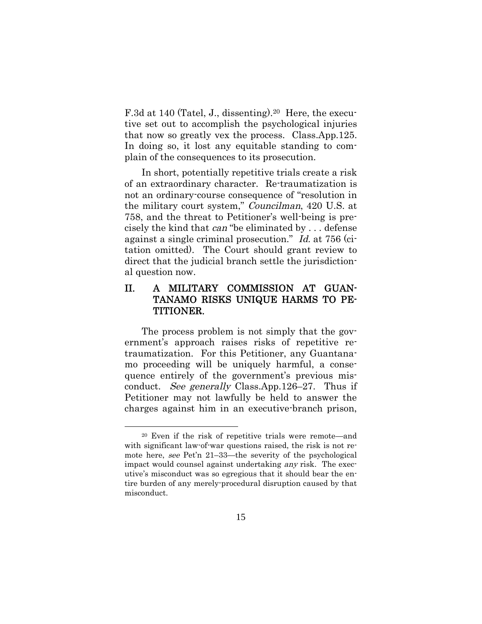F.3d at 140 (Tatel, J., dissenting).20 Here, the executive set out to accomplish the psychological injuries that now so greatly vex the process. Class.App.125. In doing so, it lost any equitable standing to complain of the consequences to its prosecution.

In short, potentially repetitive trials create a risk of an extraordinary character. Re-traumatization is not an ordinary-course consequence of "resolution in the military court system," Councilman, 420 U.S. at 758, and the threat to Petitioner's well-being is precisely the kind that can "be eliminated by . . . defense against a single criminal prosecution." Id. at 756 (citation omitted). The Court should grant review to direct that the judicial branch settle the jurisdictional question now.

### II. A MILITARY COMMISSION AT GUAN-TANAMO RISKS UNIQUE HARMS TO PE-TITIONER.

The process problem is not simply that the government's approach raises risks of repetitive retraumatization. For this Petitioner, any Guantanamo proceeding will be uniquely harmful, a consequence entirely of the government's previous misconduct. See generally Class.App.126–27. Thus if Petitioner may not lawfully be held to answer the charges against him in an executive-branch prison,

<sup>20</sup> Even if the risk of repetitive trials were remote—and with significant law-of-war questions raised, the risk is not remote here, see Pet'n 21–33—the severity of the psychological impact would counsel against undertaking any risk. The executive's misconduct was so egregious that it should bear the entire burden of any merely-procedural disruption caused by that misconduct.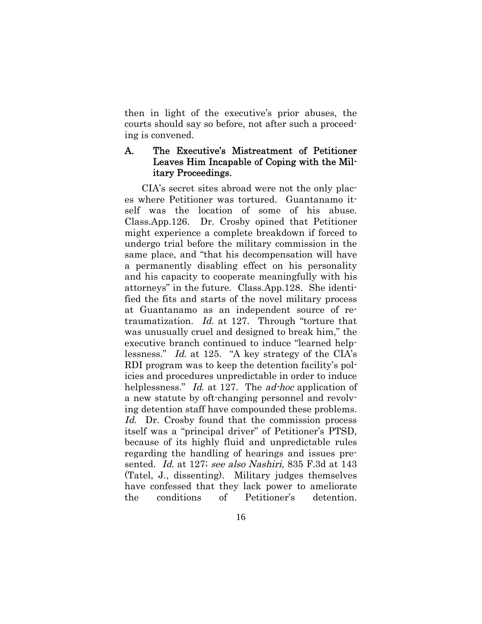then in light of the executive's prior abuses, the courts should say so before, not after such a proceeding is convened.

### A. The Executive's Mistreatment of Petitioner Leaves Him Incapable of Coping with the Military Proceedings.

CIA's secret sites abroad were not the only places where Petitioner was tortured. Guantanamo itself was the location of some of his abuse. Class.App.126. Dr. Crosby opined that Petitioner might experience a complete breakdown if forced to undergo trial before the military commission in the same place, and "that his decompensation will have a permanently disabling effect on his personality and his capacity to cooperate meaningfully with his attorneys" in the future. Class.App.128. She identified the fits and starts of the novel military process at Guantanamo as an independent source of retraumatization. Id. at 127. Through "torture that was unusually cruel and designed to break him," the executive branch continued to induce "learned helplessness." Id. at 125. "A key strategy of the CIA's RDI program was to keep the detention facility's policies and procedures unpredictable in order to induce helplessness." Id. at 127. The *ad-hoc* application of a new statute by oft-changing personnel and revolving detention staff have compounded these problems. Id. Dr. Crosby found that the commission process itself was a "principal driver" of Petitioner's PTSD, because of its highly fluid and unpredictable rules regarding the handling of hearings and issues presented. Id. at 127; see also Nashiri, 835 F.3d at 143 (Tatel, J., dissenting). Military judges themselves have confessed that they lack power to ameliorate the conditions of Petitioner's detention.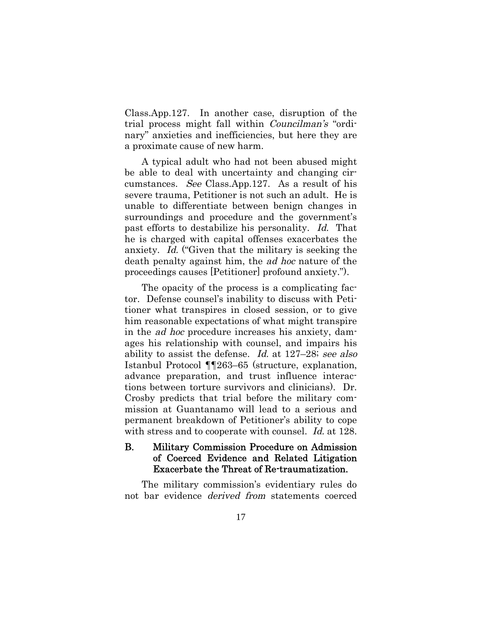Class.App.127. In another case, disruption of the trial process might fall within Councilman's "ordinary" anxieties and inefficiencies, but here they are a proximate cause of new harm.

A typical adult who had not been abused might be able to deal with uncertainty and changing circumstances. See Class.App.127. As a result of his severe trauma, Petitioner is not such an adult. He is unable to differentiate between benign changes in surroundings and procedure and the government's past efforts to destabilize his personality. Id. That he is charged with capital offenses exacerbates the anxiety. Id. ("Given that the military is seeking the death penalty against him, the ad hoc nature of the proceedings causes [Petitioner] profound anxiety.").

The opacity of the process is a complicating factor. Defense counsel's inability to discuss with Petitioner what transpires in closed session, or to give him reasonable expectations of what might transpire in the ad hoc procedure increases his anxiety, damages his relationship with counsel, and impairs his ability to assist the defense. Id. at 127–28; see also Istanbul Protocol ¶¶263–65 (structure, explanation, advance preparation, and trust influence interactions between torture survivors and clinicians). Dr. Crosby predicts that trial before the military commission at Guantanamo will lead to a serious and permanent breakdown of Petitioner's ability to cope with stress and to cooperate with counsel. Id. at 128.

### B. Military Commission Procedure on Admission of Coerced Evidence and Related Litigation Exacerbate the Threat of Re-traumatization.

The military commission's evidentiary rules do not bar evidence derived from statements coerced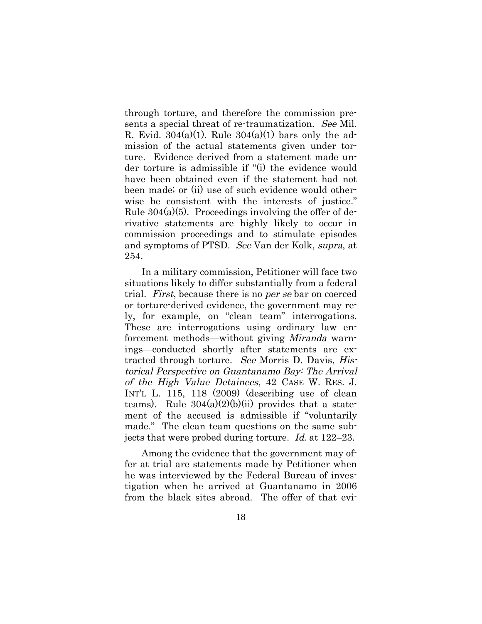through torture, and therefore the commission presents a special threat of re-traumatization. See Mil. R. Evid.  $304(a)(1)$ . Rule  $304(a)(1)$  bars only the admission of the actual statements given under torture. Evidence derived from a statement made under torture is admissible if "(i) the evidence would have been obtained even if the statement had not been made; or (ii) use of such evidence would otherwise be consistent with the interests of justice." Rule  $304(a)(5)$ . Proceedings involving the offer of derivative statements are highly likely to occur in commission proceedings and to stimulate episodes and symptoms of PTSD. See Van der Kolk, supra, at 254.

In a military commission, Petitioner will face two situations likely to differ substantially from a federal trial. First, because there is no per se bar on coerced or torture-derived evidence, the government may rely, for example, on "clean team" interrogations. These are interrogations using ordinary law enforcement methods—without giving Miranda warnings—conducted shortly after statements are extracted through torture. See Morris D. Davis, Historical Perspective on Guantanamo Bay: The Arrival of the High Value Detainees, 42 CASE W. RES. J. INT'L L. 115, 118 (2009) (describing use of clean teams). Rule  $304(a)(2)(b)(ii)$  provides that a statement of the accused is admissible if "voluntarily made." The clean team questions on the same subjects that were probed during torture. Id. at 122–23.

Among the evidence that the government may offer at trial are statements made by Petitioner when he was interviewed by the Federal Bureau of investigation when he arrived at Guantanamo in 2006 from the black sites abroad. The offer of that evi-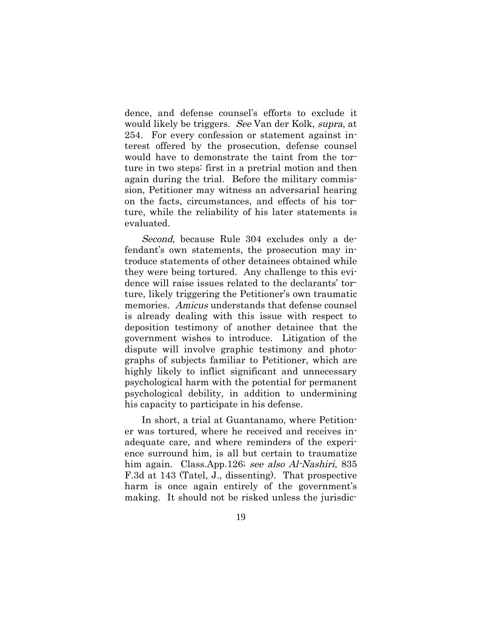dence, and defense counsel's efforts to exclude it would likely be triggers. See Van der Kolk, supra, at 254. For every confession or statement against interest offered by the prosecution, defense counsel would have to demonstrate the taint from the torture in two steps: first in a pretrial motion and then again during the trial. Before the military commission, Petitioner may witness an adversarial hearing on the facts, circumstances, and effects of his torture, while the reliability of his later statements is evaluated.

Second, because Rule 304 excludes only a defendant's own statements, the prosecution may introduce statements of other detainees obtained while they were being tortured. Any challenge to this evidence will raise issues related to the declarants' torture, likely triggering the Petitioner's own traumatic memories. Amicus understands that defense counsel is already dealing with this issue with respect to deposition testimony of another detainee that the government wishes to introduce. Litigation of the dispute will involve graphic testimony and photographs of subjects familiar to Petitioner, which are highly likely to inflict significant and unnecessary psychological harm with the potential for permanent psychological debility, in addition to undermining his capacity to participate in his defense.

In short, a trial at Guantanamo, where Petitioner was tortured, where he received and receives inadequate care, and where reminders of the experience surround him, is all but certain to traumatize him again. Class.App.126; see also Al-Nashiri, 835 F.3d at 143 (Tatel, J., dissenting). That prospective harm is once again entirely of the government's making. It should not be risked unless the jurisdic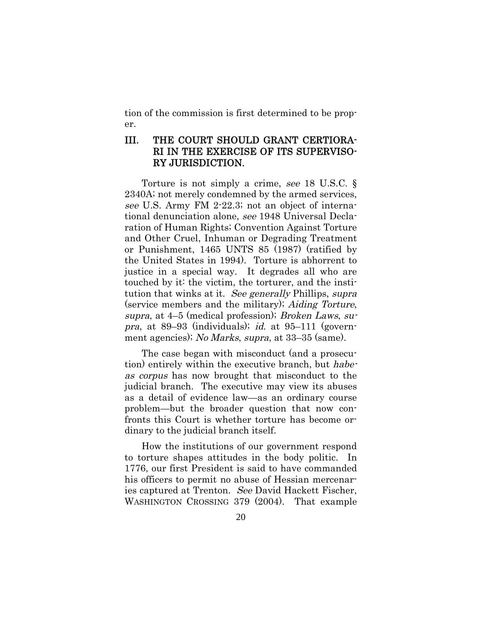tion of the commission is first determined to be proper.

## III. THE COURT SHOULD GRANT CERTIORA-RI IN THE EXERCISE OF ITS SUPERVISO-RY JURISDICTION.

Torture is not simply a crime, see 18 U.S.C. § 2340A; not merely condemned by the armed services, see U.S. Army FM 2-22.3; not an object of international denunciation alone, see 1948 Universal Declaration of Human Rights; Convention Against Torture and Other Cruel, Inhuman or Degrading Treatment or Punishment, 1465 UNTS 85 (1987) (ratified by the United States in 1994). Torture is abhorrent to justice in a special way. It degrades all who are touched by it: the victim, the torturer, and the institution that winks at it. See generally Phillips, supra (service members and the military); Aiding Torture, supra, at 4–5 (medical profession); Broken Laws, supra, at 89–93 (individuals); id. at 95–111 (government agencies); No Marks, supra, at 33–35 (same).

The case began with misconduct (and a prosecution) entirely within the executive branch, but habeas corpus has now brought that misconduct to the judicial branch. The executive may view its abuses as a detail of evidence law—as an ordinary course problem—but the broader question that now confronts this Court is whether torture has become ordinary to the judicial branch itself.

How the institutions of our government respond to torture shapes attitudes in the body politic. In 1776, our first President is said to have commanded his officers to permit no abuse of Hessian mercenaries captured at Trenton. See David Hackett Fischer, WASHINGTON CROSSING 379 (2004). That example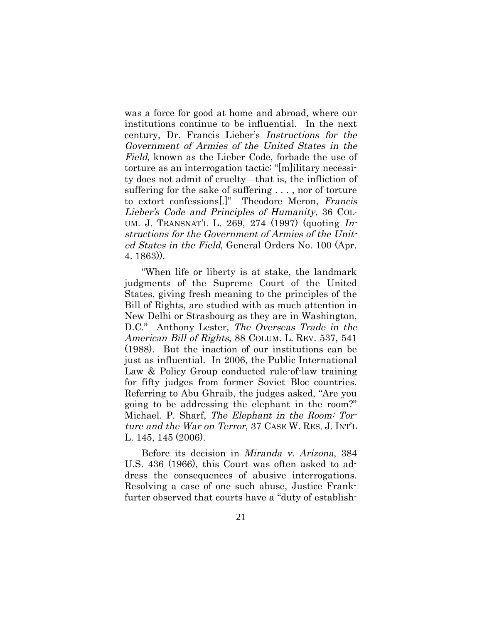was a force for good at home and abroad, where our institutions continue to be influential. In the next century, Dr. Francis Lieber's Instructions for the Government of Armies of the United States in the Field, known as the Lieber Code, forbade the use of torture as an interrogation tactic: "[m]ilitary necessity does not admit of cruelty—that is, the infliction of suffering for the sake of suffering . . . , nor of torture to extort confessions[.]" Theodore Meron, Francis Lieber's Code and Principles of Humanity, 36 COL-UM. J. TRANSNAT'L L. 269, 274 (1997) (quoting Instructions for the Government of Armies of the United States in the Field, General Orders No. 100 (Apr. 4. 1863)).

"When life or liberty is at stake, the landmark judgments of the Supreme Court of the United States, giving fresh meaning to the principles of the Bill of Rights, are studied with as much attention in New Delhi or Strasbourg as they are in Washington, D.C." Anthony Lester, The Overseas Trade in the American Bill of Rights, 88 COLUM. L. REV. 537, 541 (1988). But the inaction of our institutions can be just as influential. In 2006, the Public International Law & Policy Group conducted rule-of-law training for fifty judges from former Soviet Bloc countries. Referring to Abu Ghraib, the judges asked, "Are you going to be addressing the elephant in the room?" Michael. P. Sharf, The Elephant in the Room: Torture and the War on Terror, 37 CASE W. RES. J. INT'L L. 145, 145 (2006).

Before its decision in Miranda v. Arizona, 384 U.S. 436 (1966), this Court was often asked to address the consequences of abusive interrogations. Resolving a case of one such abuse, Justice Frankfurter observed that courts have a "duty of establish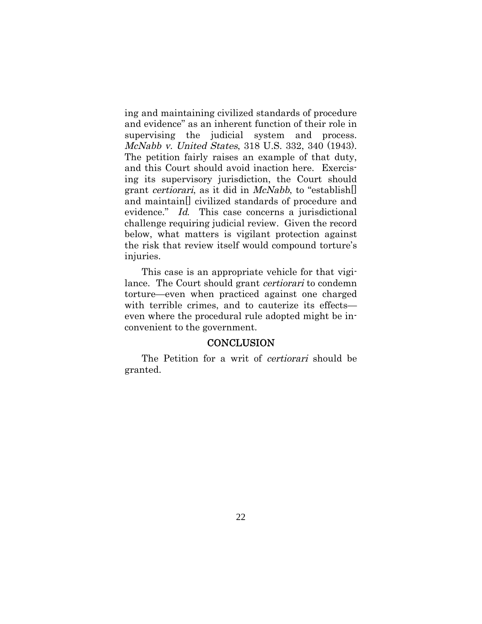ing and maintaining civilized standards of procedure and evidence" as an inherent function of their role in supervising the judicial system and process. McNabb v. United States, 318 U.S. 332, 340 (1943). The petition fairly raises an example of that duty, and this Court should avoid inaction here. Exercising its supervisory jurisdiction, the Court should grant *certiorari*, as it did in *McNabb*, to "establish and maintain[] civilized standards of procedure and evidence." Id. This case concerns a jurisdictional challenge requiring judicial review. Given the record below, what matters is vigilant protection against the risk that review itself would compound torture's injuries.

This case is an appropriate vehicle for that vigilance. The Court should grant certiorari to condemn torture—even when practiced against one charged with terrible crimes, and to cauterize its effects even where the procedural rule adopted might be inconvenient to the government.

#### **CONCLUSION**

The Petition for a writ of certiorari should be granted.